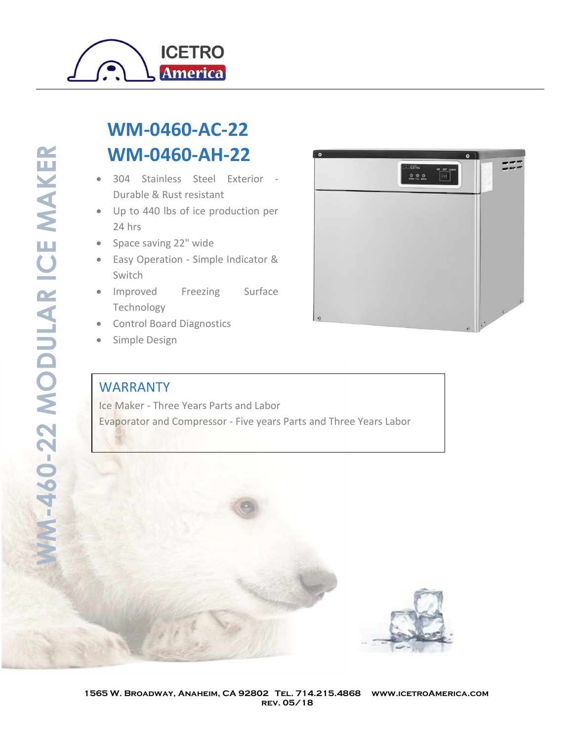

## **WM-0460-AC-22 WM-0460-AH-22**

- 304 Stainless Steel Exterior Durable & Rust resistant
- Up to 440 lbs of ice production per 24 hrs
- Space saving 22" wide
- Easy Operation Simple Indicator & Switch
- Improved Freezing Surface Technology
- Control Board Diagnostics
- Simple Design

## WARRANTY

Ice Maker - Three Years Parts and Labor Evaporator and Compressor - Five years Parts and Three Years Labor